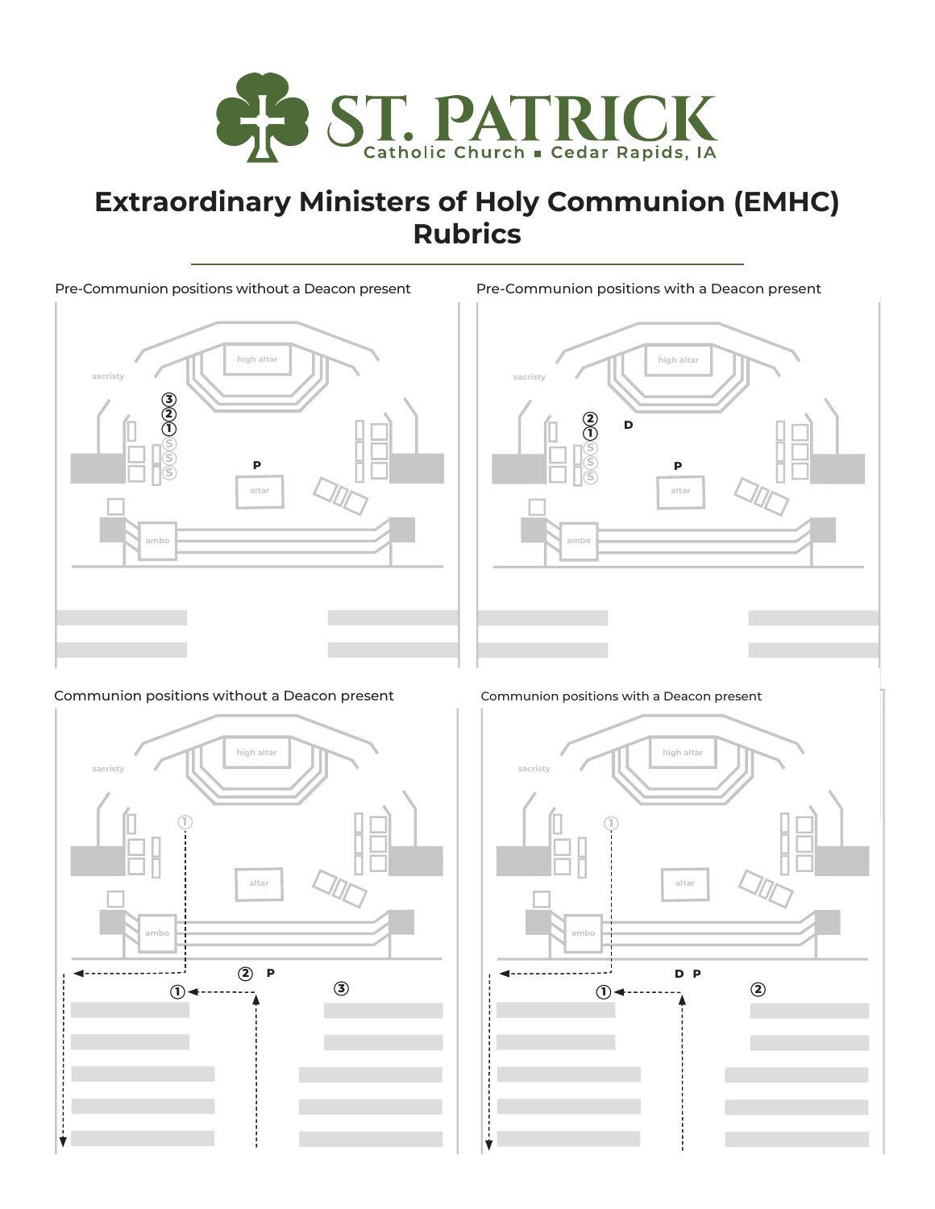

# **Extraordinary Ministers of Holy Communion (EMHC) Rubrics**

#### Pre-Communion positions without a Deacon present



**sacristy high altar altar ambo P D 1 2 S S S** Pre-Communion positions with a Deacon present

#### Communion positions without a Deacon present Communion positions with a Deacon present



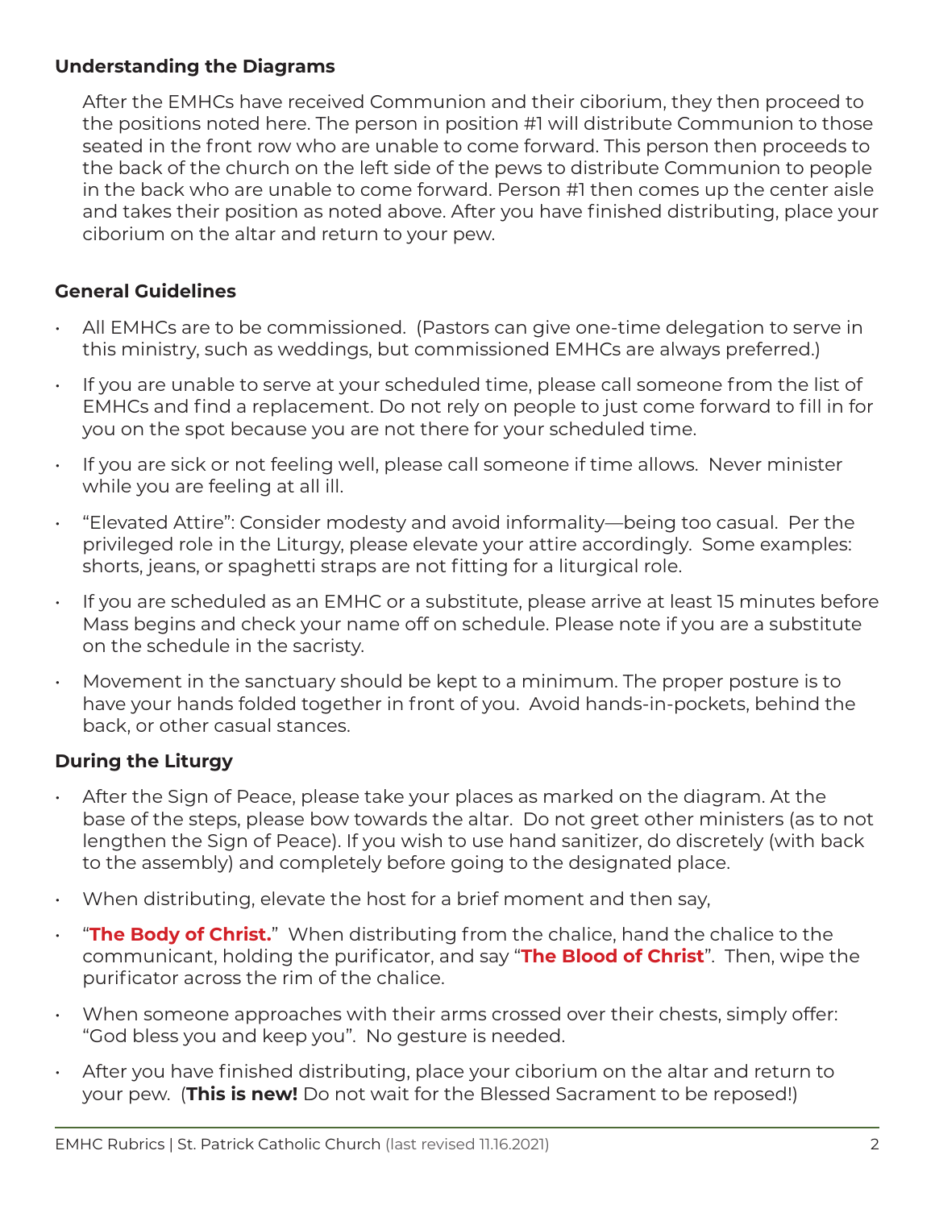### **Understanding the Diagrams**

After the EMHCs have received Communion and their ciborium, they then proceed to the positions noted here. The person in position #1 will distribute Communion to those seated in the front row who are unable to come forward. This person then proceeds to the back of the church on the left side of the pews to distribute Communion to people in the back who are unable to come forward. Person #1 then comes up the center aisle and takes their position as noted above. After you have finished distributing, place your ciborium on the altar and return to your pew.

### **General Guidelines**

- All EMHCs are to be commissioned. (Pastors can give one-time delegation to serve in this ministry, such as weddings, but commissioned EMHCs are always preferred.)
- If you are unable to serve at your scheduled time, please call someone from the list of EMHCs and find a replacement. Do not rely on people to just come forward to fill in for you on the spot because you are not there for your scheduled time.
- If you are sick or not feeling well, please call someone if time allows. Never minister while you are feeling at all ill.
- "Elevated Attire": Consider modesty and avoid informality—being too casual. Per the privileged role in the Liturgy, please elevate your attire accordingly. Some examples: shorts, jeans, or spaghetti straps are not fitting for a liturgical role.
- If you are scheduled as an EMHC or a substitute, please arrive at least 15 minutes before Mass begins and check your name off on schedule. Please note if you are a substitute on the schedule in the sacristy.
- Movement in the sanctuary should be kept to a minimum. The proper posture is to have your hands folded together in front of you. Avoid hands-in-pockets, behind the back, or other casual stances.

## **During the Liturgy**

- After the Sign of Peace, please take your places as marked on the diagram. At the base of the steps, please bow towards the altar. Do not greet other ministers (as to not lengthen the Sign of Peace). If you wish to use hand sanitizer, do discretely (with back to the assembly) and completely before going to the designated place.
- When distributing, elevate the host for a brief moment and then say,
- "**The Body of Christ.**" When distributing from the chalice, hand the chalice to the communicant, holding the purificator, and say "**The Blood of Christ**". Then, wipe the purificator across the rim of the chalice.
- When someone approaches with their arms crossed over their chests, simply offer: "God bless you and keep you". No gesture is needed.
- After you have finished distributing, place your ciborium on the altar and return to your pew. (**This is new!** Do not wait for the Blessed Sacrament to be reposed!)